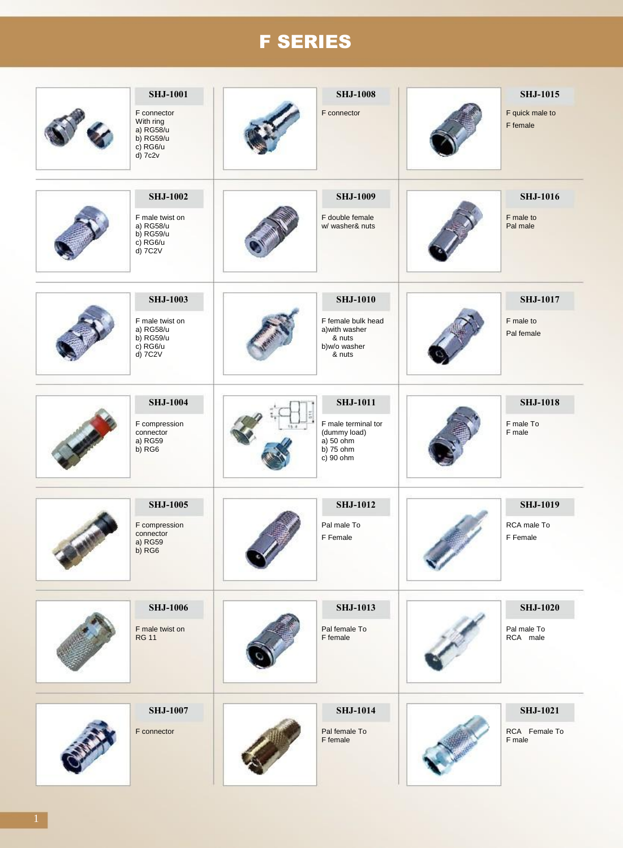# F SERIES

| <b>SHJ-1001</b><br>F connector<br>With ring<br>a) RG58/u<br>b) RG59/u<br>c) RG6/u<br>d) 7c2v | <b>SHJ-1008</b><br>F connector                                                                  | <b>SHJ-1015</b><br>F quick male to<br>F female |
|----------------------------------------------------------------------------------------------|-------------------------------------------------------------------------------------------------|------------------------------------------------|
| <b>SHJ-1002</b><br>F male twist on<br>a) RG58/u<br>$b)$ RG59/u<br>c) RG6/u<br>d) 7C2V        | <b>SHJ-1009</b><br>F double female<br>w/ washer& nuts                                           | <b>SHJ-1016</b><br>F male to<br>Pal male       |
| <b>SHJ-1003</b><br>F male twist on<br>a) RG58/u<br>b) RG59/u<br>c) RG6/u<br>d) 7C2V          | <b>SHJ-1010</b><br>F female bulk head<br>a) with washer<br>& nuts<br>b)w/o washer<br>& nuts     | <b>SHJ-1017</b><br>F male to<br>Pal female     |
| <b>SHJ-1004</b><br>F compression<br>connector<br>a) RG59<br>$b)$ RG <sub>6</sub>             | <b>SHJ-1011</b><br>F male terminal tor<br>(dummy load)<br>a) 50 ohm<br>$b)$ 75 ohm<br>c) 90 ohm | <b>SHJ-1018</b><br>F male To<br>F male         |
| <b>SHJ-1005</b><br>F compression<br>connector<br>a) RG59<br>b) RG6                           | <b>SHJ-1012</b><br>Pal male To<br>F Female                                                      | <b>SHJ-1019</b><br>RCA male To<br>F Female     |
| <b>SHJ-1006</b><br>F male twist on<br><b>RG 11</b>                                           | <b>SHJ-1013</b><br>Pal female To<br>F female                                                    | <b>SHJ-1020</b><br>Pal male To<br>RCA male     |
| <b>SHJ-1007</b><br>F connector                                                               | <b>SHJ-1014</b><br>Pal female To<br>F female                                                    | <b>SHJ-1021</b><br>RCA Female To<br>F male     |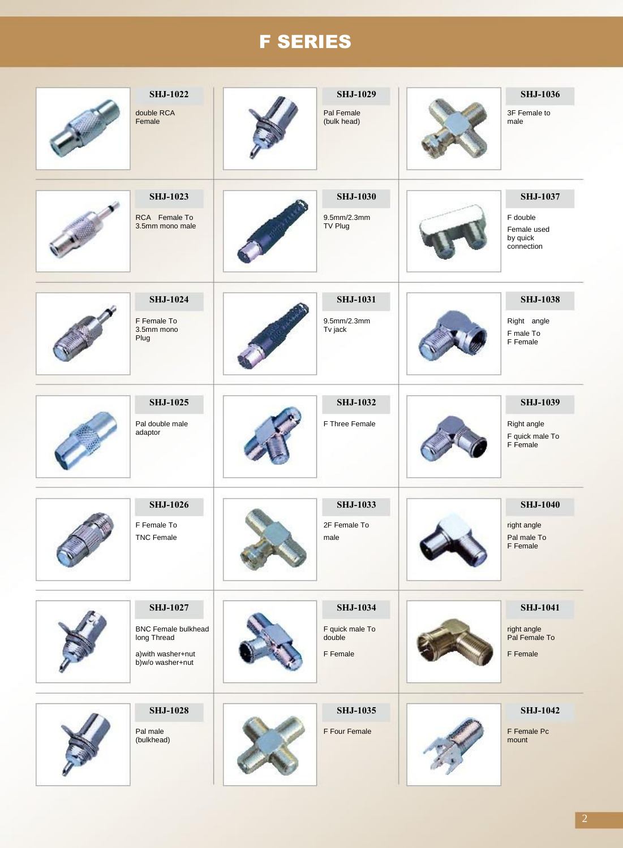# F SERIES

| <b>SHJ-1022</b><br>double RCA<br>Female                                                                | <b>SHJ-1029</b><br>Pal Female<br>(bulk head)             | <b>SHJ-1036</b><br>3F Female to<br>male                              |
|--------------------------------------------------------------------------------------------------------|----------------------------------------------------------|----------------------------------------------------------------------|
| <b>SHJ-1023</b><br>RCA Female To<br>3.5mm mono male                                                    | <b>SHJ-1030</b><br>9.5mm/2.3mm<br>TV Plug                | <b>SHJ-1037</b><br>F double<br>Female used<br>by quick<br>connection |
| <b>SHJ-1024</b><br>F Female To<br>3.5mm mono<br>Plug                                                   | <b>SHJ-1031</b><br>9.5mm/2.3mm<br>Tv jack                | <b>SHJ-1038</b><br>Right angle<br>F male To<br>F Female              |
| <b>SHJ-1025</b><br>Pal double male<br>adaptor                                                          | <b>SHJ-1032</b><br>F Three Female                        | <b>SHJ-1039</b><br>Right angle<br>F quick male To<br>F Female        |
| <b>SHJ-1026</b><br>F Female To<br><b>TNC Female</b>                                                    | <b>SHJ-1033</b><br>2F Female To<br>male                  | <b>SHJ-1040</b><br>right angle<br>Pal male To<br><b>F</b> Female     |
| <b>SHJ-1027</b><br><b>BNC Female bulkhead</b><br>long Thread<br>a) with washer+nut<br>b)w/o washer+nut | <b>SHJ-1034</b><br>F quick male To<br>double<br>F Female | <b>SHJ-1041</b><br>right angle<br>Pal Female To<br>F Female          |
| <b>SHJ-1028</b><br>Pal male<br>(bulkhead)                                                              | <b>SHJ-1035</b><br>F Four Female                         | <b>SHJ-1042</b><br>F Female Pc<br>mount                              |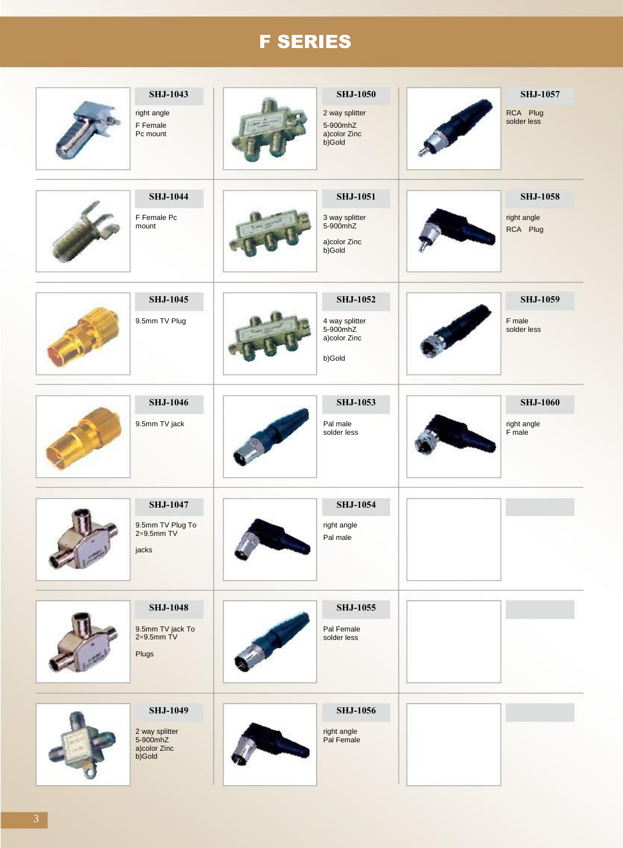# F SERIES

| <b>SHJ-1043</b><br>right angle<br>F Female<br>Pc mount                  | <b>SHJ-1050</b><br>2 way splitter<br>5-900mhZ<br>a)color Zinc<br>b)Gold | <b>SHJ-1057</b><br>RCA Plug<br>solder less |
|-------------------------------------------------------------------------|-------------------------------------------------------------------------|--------------------------------------------|
| <b>SHJ-1044</b><br>F Female Pc<br>mount                                 | <b>SHJ-1051</b><br>3 way splitter<br>5-900mhZ<br>a)color Zinc<br>b)Gold | <b>SHJ-1058</b><br>right angle<br>RCA Plug |
| <b>SHJ-1045</b><br>9.5mm TV Plug                                        | <b>SHJ-1052</b><br>4 way splitter<br>5-900mhZ<br>a)color Zinc<br>b)Gold | <b>SHJ-1059</b><br>F male<br>solder less   |
| <b>SHJ-1046</b><br>9.5mm TV jack                                        | <b>SHJ-1053</b><br>Pal male<br>solder less                              | <b>SHJ-1060</b><br>right angle<br>F male   |
| <b>SHJ-1047</b><br>9.5mm TV Plug To $2 \times 9.5$ mm TV<br>jacks       | <b>SHJ-1054</b><br>right angle<br>Pal male                              |                                            |
| <b>SHJ-1048</b><br>9.5mm TV jack To<br>2×9.5mm TV<br>Plugs              | <b>SHJ-1055</b><br>Pal Female<br>solder less                            |                                            |
| <b>SHJ-1049</b><br>2 way splitter<br>5-900mhZ<br>a)color Zinc<br>b)Gold | <b>SHJ-1056</b><br>right angle<br>Pal Female                            |                                            |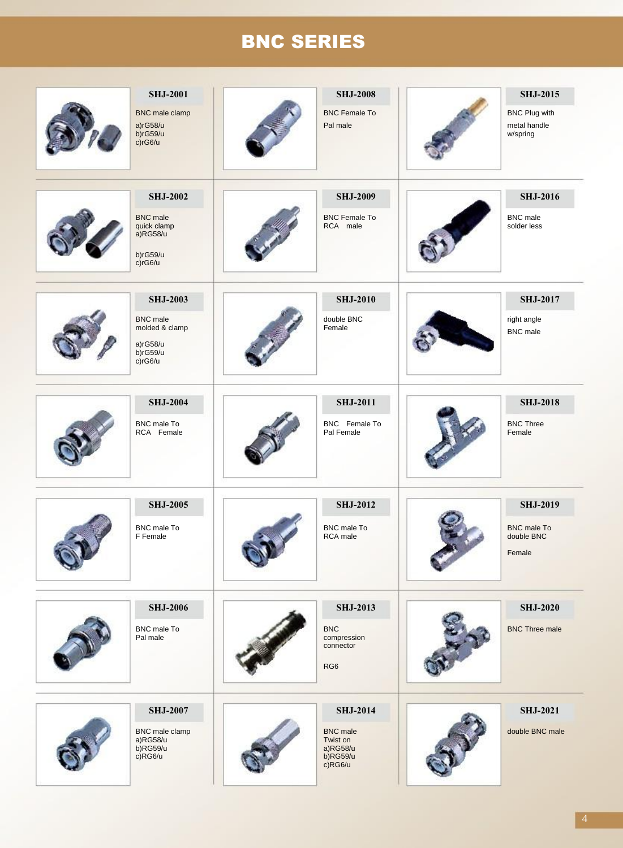# BNC SERIES

| <b>SHJ-2001</b><br>BNC male clamp<br>a)rG58/u<br>$b)$ rG59/u<br>c/rG6/u                    | <b>SHJ-2008</b><br><b>BNC Female To</b><br>Pal male                                  | <b>SHJ-2015</b><br><b>BNC Plug with</b><br>metal handle<br>w/spring |
|--------------------------------------------------------------------------------------------|--------------------------------------------------------------------------------------|---------------------------------------------------------------------|
| <b>SHJ-2002</b><br><b>BNC</b> male<br>quick clamp<br>$a)$ RG58/u<br>b)rG59/u<br>c)rG6/u    | <b>SHJ-2009</b><br><b>BNC Female To</b><br>RCA male                                  | <b>SHJ-2016</b><br><b>BNC</b> male<br>solder less                   |
| <b>SHJ-2003</b><br><b>BNC</b> male<br>molded & clamp<br>a)rG58/u<br>$b)$ rG59/u<br>c)rG6/u | <b>SHJ-2010</b><br>double BNC<br>Female                                              | <b>SHJ-2017</b><br>right angle<br><b>BNC</b> male                   |
| <b>SHJ-2004</b><br>BNC male To<br>RCA Female                                               | <b>SHJ-2011</b><br>BNC Female To<br>Pal Female                                       | <b>SHJ-2018</b><br><b>BNC Three</b><br>Female                       |
| <b>SHJ-2005</b><br>BNC male To<br>F Female                                                 | <b>SHJ-2012</b><br><b>BNC</b> male To<br>RCA male                                    | <b>SHJ-2019</b><br><b>BNC</b> male To<br>double BNC<br>Female       |
| <b>SHJ-2006</b><br>BNC male To<br>Pal male                                                 | <b>SHJ-2013</b><br><b>BNC</b><br>compression<br>connector<br>RG <sub>6</sub>         | <b>SHJ-2020</b><br><b>BNC Three male</b>                            |
| <b>SHJ-2007</b><br>BNC male clamp<br>a)RG58/u<br>$b)$ RG59/u<br>$c)$ RG6/u                 | <b>SHJ-2014</b><br><b>BNC</b> male<br>Twist on<br>a)RG58/u<br>b)RG59/u<br>$c)$ RG6/u | <b>SHJ-2021</b><br>double BNC male                                  |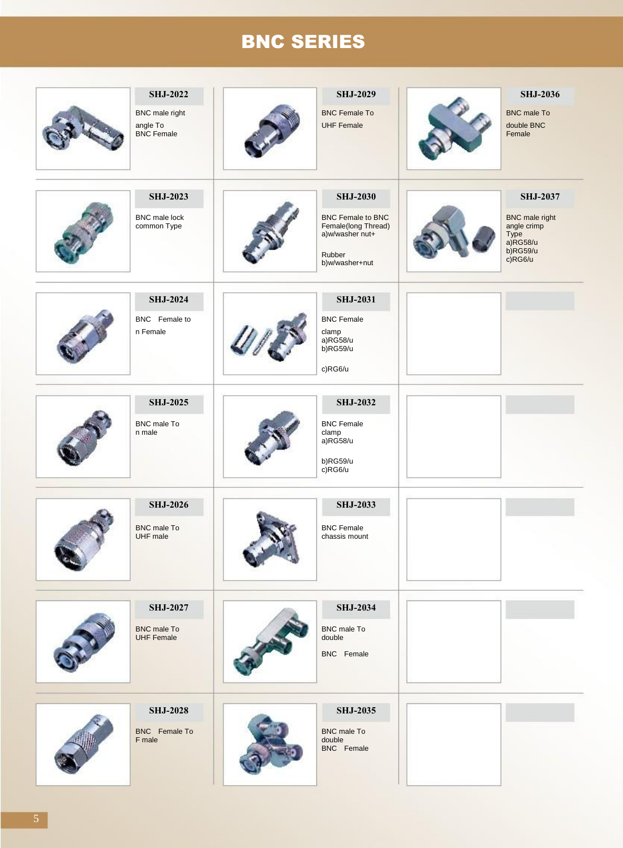# BNC SERIES

| <b>SHJ-2022</b><br>BNC male right<br>angle To<br><b>BNC</b> Female | <b>SHJ-2029</b><br><b>BNC Female To</b><br><b>UHF Female</b>                                                      | <b>SHJ-2036</b><br><b>BNC</b> male To<br>double BNC<br>Female                                     |
|--------------------------------------------------------------------|-------------------------------------------------------------------------------------------------------------------|---------------------------------------------------------------------------------------------------|
| <b>SHJ-2023</b><br><b>BNC</b> male lock<br>common Type             | <b>SHJ-2030</b><br><b>BNC Female to BNC</b><br>Female(long Thread)<br>a)w/washer nut+<br>Rubber<br>b)w/washer+nut | <b>SHJ-2037</b><br>BNC male right<br>angle crimp<br>Type<br>$a)$ RG58/u<br>$b)$ RG59/u<br>c)RG6/u |
| <b>SHJ-2024</b><br>BNC Female to<br>n Female                       | <b>SHJ-2031</b><br><b>BNC Female</b><br>clamp<br>$a)$ RG58/u<br>b)RG59/u<br>c)RG6/u                               |                                                                                                   |
| <b>SHJ-2025</b><br>BNC male To<br>n male                           | <b>SHJ-2032</b><br><b>BNC Female</b><br>clamp<br>a)RG58/u<br>b)RG59/u<br>c)RG6/u                                  |                                                                                                   |
| <b>SHJ-2026</b><br><b>BNC</b> male To<br>UHF male                  | <b>SHJ-2033</b><br><b>BNC Female</b><br>chassis mount                                                             |                                                                                                   |
| <b>SHJ-2027</b><br><b>BNC</b> male To<br><b>UHF Female</b>         | <b>SHJ-2034</b><br><b>BNC</b> male To<br>double<br>BNC Female                                                     |                                                                                                   |
| <b>SHJ-2028</b><br>BNC Female To<br>F male                         | <b>SHJ-2035</b><br><b>BNC</b> male To<br>double<br>BNC Female                                                     |                                                                                                   |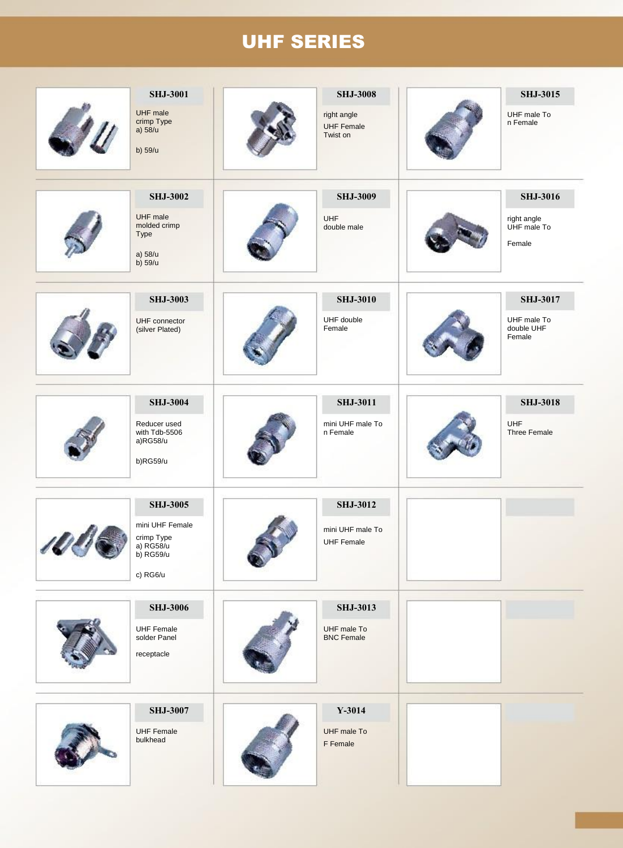# UHF SERIES

| <b>SHJ-3001</b>                                          | <b>SHJ-3008</b>                              | <b>SHJ-3015</b>                      |
|----------------------------------------------------------|----------------------------------------------|--------------------------------------|
| UHF male<br>crimp Type<br>a) 58/u<br>b) 59/u             | right angle<br><b>UHF Female</b><br>Twist on | UHF male To<br>n Female              |
| <b>SHJ-3002</b>                                          | <b>SHJ-3009</b>                              | <b>SHJ-3016</b>                      |
| UHF male<br>molded crimp<br>Type<br>a) 58/u<br>$b)$ 59/u | UHF<br>double male                           | right angle<br>UHF male To<br>Female |
| <b>SHJ-3003</b>                                          | <b>SHJ-3010</b>                              | <b>SHJ-3017</b>                      |
| UHF connector<br>(silver Plated)                         | UHF double<br>Female                         | UHF male To<br>double UHF<br>Female  |
| <b>SHJ-3004</b>                                          | <b>SHJ-3011</b>                              | <b>SHJ-3018</b>                      |
| Reducer used<br>with Tdb-5506<br>a)RG58/u<br>b)RG59/u    | mini UHF male To<br>n Female                 | UHF<br>Three Female                  |
| <b>SHJ-3005</b>                                          | <b>SHJ-3012</b>                              |                                      |
| mini UHF Female<br>crimp Type<br>a) RG58/u<br>b) RG59/u  | mini UHF male To<br><b>UHF Female</b>        |                                      |
| c) RG6/u                                                 |                                              |                                      |
| <b>SHJ-3006</b>                                          | <b>SHJ-3013</b>                              |                                      |
| <b>UHF Female</b><br>solder Panel<br>receptacle          | UHF male To<br><b>BNC Female</b>             |                                      |
| <b>SHJ-3007</b>                                          | $Y-3014$                                     |                                      |
| <b>UHF Female</b><br>bulkhead                            | UHF male To<br>F Female                      |                                      |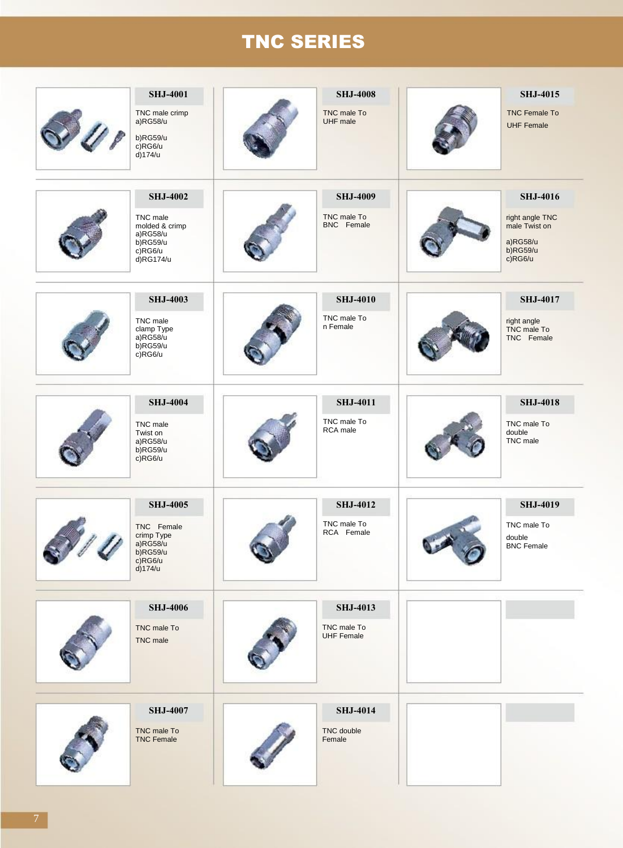# TNC SERIES

| <b>SHJ-4001</b><br>TNC male crimp<br>a)RG58/u<br>b)RG59/u<br>c)RG6/u<br>$d$ )174/u               | <b>SHJ-4008</b><br>TNC male To<br><b>UHF</b> male   | <b>SHJ-4015</b><br><b>TNC Female To</b><br><b>UHF Female</b>                                 |
|--------------------------------------------------------------------------------------------------|-----------------------------------------------------|----------------------------------------------------------------------------------------------|
| <b>SHJ-4002</b><br>TNC male<br>molded & crimp<br>a)RG58/u<br>$b)$ RG59/u<br>c)RG6/u<br>d)RG174/u | <b>SHJ-4009</b><br>TNC male To<br>BNC Female        | <b>SHJ-4016</b><br>right angle TNC<br>male Twist on<br>a)RG58/u<br>$b)$ RG59/u<br>$c)$ RG6/u |
| <b>SHJ-4003</b><br>TNC male<br>clamp Type<br>a)RG58/u<br>$b)$ RG59/u<br>c)RG6/u                  | <b>SHJ-4010</b><br>TNC male To<br>n Female          | <b>SHJ-4017</b><br>right angle<br>TNC male To<br>TNC Female                                  |
| <b>SHJ-4004</b><br>TNC male<br>Twist on<br>a)RG58/u<br>$b)$ RG59/u<br>c)RG6/u                    | <b>SHJ-4011</b><br>TNC male To<br>RCA male          | <b>SHJ-4018</b><br>TNC male To<br>double<br>TNC male                                         |
| <b>SHJ-4005</b><br>TNC Female<br>crimp Type<br>a)RG58/u<br>b)RG59/u<br>c)RG6/u<br>d)174/u        | <b>SHJ-4012</b><br>TNC male To<br>RCA Female        | <b>SHJ-4019</b><br>TNC male To<br>double<br><b>BNC Female</b>                                |
| <b>SHJ-4006</b><br>TNC male To<br><b>TNC</b> male                                                | <b>SHJ-4013</b><br>TNC male To<br><b>UHF Female</b> |                                                                                              |
| <b>SHJ-4007</b><br>TNC male To<br><b>TNC Female</b>                                              | <b>SHJ-4014</b><br>TNC double<br>Female             |                                                                                              |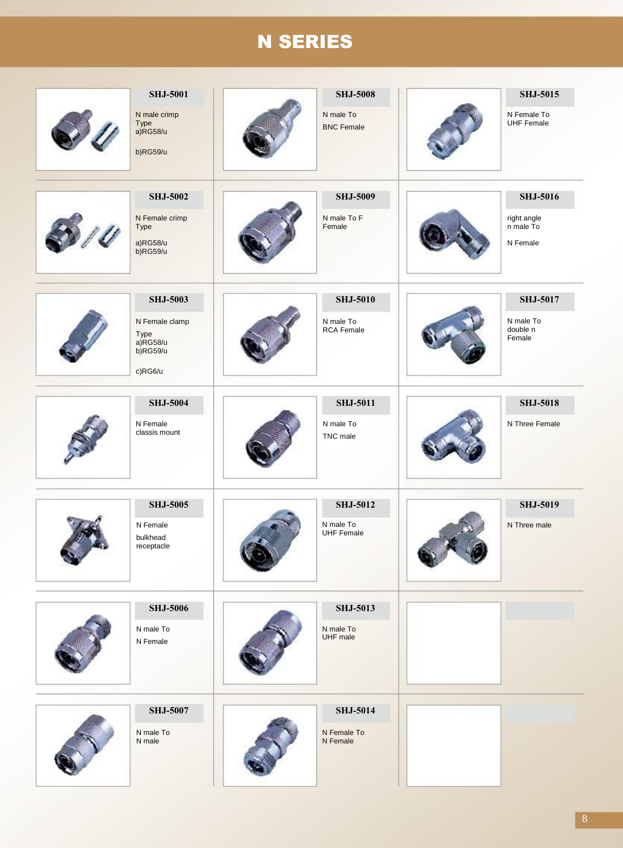# N SERIES

| <b>SHJ-5001</b><br>N male crimp<br>Type<br>a)RG58/u<br>b)RG59/u                 | <b>SHJ-5008</b><br>N male To<br><b>BNC Female</b> | <b>SHJ-5015</b><br>N Female To<br><b>UHF Female</b>     |
|---------------------------------------------------------------------------------|---------------------------------------------------|---------------------------------------------------------|
| <b>SHJ-5002</b><br>N Female crimp<br>Type<br>a)RG58/u<br>$b)$ RG59/u            | <b>SHJ-5009</b><br>N male To F<br>Female          | <b>SHJ-5016</b><br>right angle<br>n male To<br>N Female |
| <b>SHJ-5003</b><br>N Female clamp<br>Type<br>a)RG58/u<br>$b)$ RG59/u<br>c)RG6/u | <b>SHJ-5010</b><br>N male To<br><b>RCA Female</b> | <b>SHJ-5017</b><br>N male To<br>double n<br>Female      |
| <b>SHJ-5004</b><br>N Female<br>classis mount                                    | <b>SHJ-5011</b><br>N male To<br>TNC male          | <b>SHJ-5018</b><br>N Three Female                       |
| <b>SHJ-5005</b><br>N Female<br>bulkhead<br>receptacle                           | <b>SHJ-5012</b><br>N male To<br><b>UHF Female</b> | <b>SHJ-5019</b><br>N Three male                         |
| <b>SHJ-5006</b><br>N male To<br>N Female                                        | <b>SHJ-5013</b><br>N male To<br>UHF male          |                                                         |
| <b>SHJ-5007</b><br>N male To<br>N male                                          | <b>SHJ-5014</b><br>N Female To<br>N Female        |                                                         |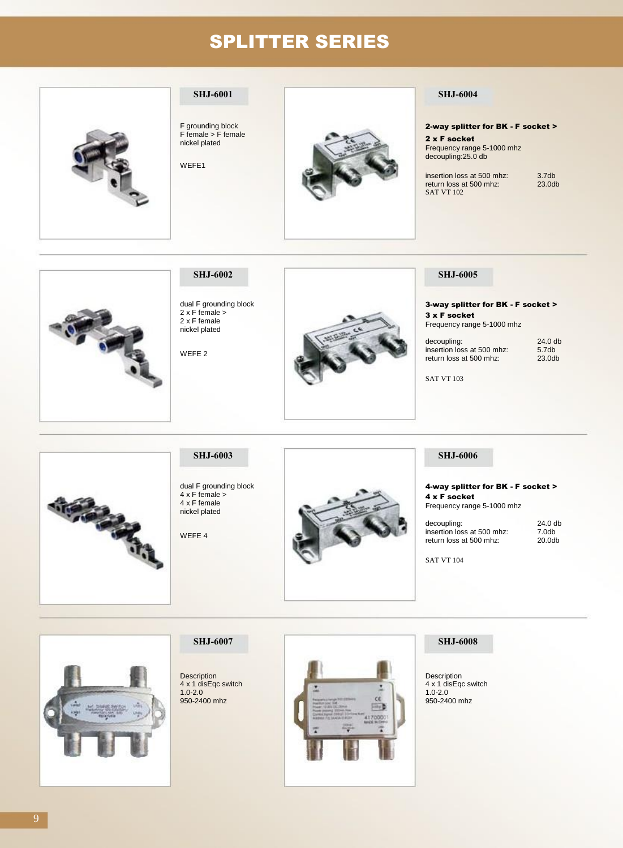## SPLITTER SERIES



### **SHJ-6001**

F grounding block F female > F female nickel plated

WEFE1



### **SHJ-6004**

2-way splitter for BK - F socket >

2 x F socket Frequency range 5-1000 mhz decoupling:25.0 db

insertion loss at 500 mhz: return loss at 500 mhz: SAT VT 102 3.7db 23.0db



## **SHJ-6002**

dual F grounding block 2 x F female > 2 x F female nickel plated

WEFE 2



### **SHJ-6005**

3-way splitter for BK - F socket > 3 x F socket Frequency range 5-1000 mhz

| decoupling:                | $24.0$ db          |
|----------------------------|--------------------|
| insertion loss at 500 mhz: | 5.7 <sub>db</sub>  |
| return loss at 500 mhz:    | 23.0 <sub>db</sub> |

SAT VT 103

# 

# **SHJ-6003**

dual F grounding block  $4 \times F$  female  $>$ 4 x F female nickel plated

WEFE 4



### **SHJ-6006**

4-way splitter for BK - F socket > 4 x F socket Frequency range 5-1000 mhz

decoupling: insertion loss at 500 mhz: return loss at 500 mhz: 24.0 db 7.0db 20.0db

SAT VT 104

### **SHJ-6007**

Description 4 x 1 disEqc switch 1.0-2.0 950-2400 mhz



### **SHJ-6008**

Description 4 x 1 disEqc switch 1.0-2.0 950-2400 mhz